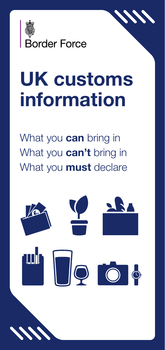

# UK customs information

What you **can** bring in What you **can't** bring in What you **must** declare



1 PB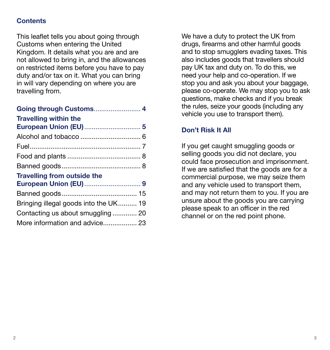## **Contents**

This leaflet tells you about going through Customs when entering the United Kingdom. It details what you are and are not allowed to bring in, and the allowances on restricted items before you have to pay duty and/or tax on it. What you can bring in will vary depending on where you are travelling from.

We have a duty to protect the UK from drugs, firearms and other harmful goods and to stop smugglers evading taxes. This also includes goods that travellers should pay UK tax and duty on. To do this, we need your help and co-operation. If we stop you and ask you about your baggage, please co-operate. We may stop you to ask questions, make checks and if you break the rules, seize your goods (including any vehicle you use to transport them).

#### **Don't Risk It All**

If you get caught smuggling goods or selling goods you did not declare, you could face prosecution and imprisonment. If we are satisfied that the goods are for a commercial purpose, we may seize them and any vehicle used to transport them, and may not return them to you. If you are unsure about the goods you are carrying please speak to an officer in the red channel or on the red point phone.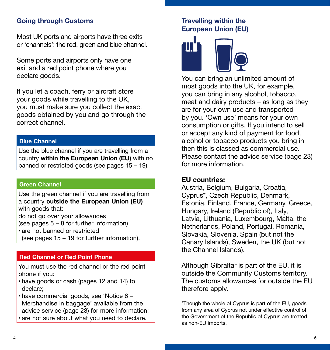## **Going through Customs**

Most UK ports and airports have three exits or 'channels': the red, green and blue channel.

Some ports and airports only have one exit and a red point phone where you declare goods.

If you let a coach, ferry or aircraft store your goods while travelling to the UK, you must make sure you collect the exact goods obtained by you and go through the correct channel.

#### **Blue Channel**

Use the blue channel if you are travelling from a country **within the European Union (EU)** with no banned or restricted goods (see pages 15 – 19).

#### **Green Channel**

Use the green channel if you are travelling from a country **outside the European Union (EU)** with goods that:

do not go over your allowances

(see pages 5 – 8 for further information)

- are not banned or restricted
- (see pages 15 19 for further information).

#### **Red Channel or Red Point Phone**

You must use the red channel or the red point phone if you:

- have goods or cash (pages 12 and 14) to declare;
- have commercial goods, see 'Notice 6 Merchandise in baggage' available from the advice service (page 23) for more information;
- are not sure about what you need to declare.

#### **Travelling within the European Union (EU)**



You can bring an unlimited amount of most goods into the UK, for example, you can bring in any alcohol, tobacco, meat and dairy products – as long as they are for your own use and transported by you. 'Own use' means for your own consumption or gifts. If you intend to sell or accept any kind of payment for food, alcohol or tobacco products you bring in then this is classed as commercial use. Please contact the advice service (page 23) for more information.

#### **EU countries:**

Austria, Belgium, Bulgaria, Croatia, Cyprus\*, Czech Republic, Denmark, Estonia, Finland, France, Germany, Greece, Hungary, Ireland (Republic of), Italy, Latvia, Lithuania, Luxembourg, Malta, the Netherlands, Poland, Portugal, Romania, Slovakia, Slovenia, Spain (but not the Canary Islands), Sweden, the UK (but not the Channel Islands).

Although Gibraltar is part of the EU, it is outside the Community Customs territory. The customs allowances for outside the EU therefore apply.

\*Though the whole of Cyprus is part of the EU, goods from any area of Cyprus not under effective control of the Government of the Republic of Cyprus are treated as non-EU imports.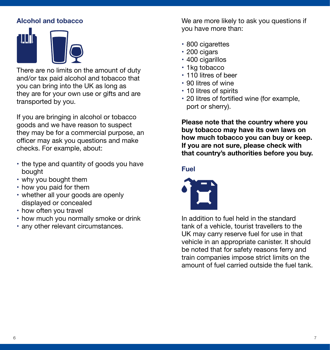# **Alcohol and tobacco**



There are no limits on the amount of duty and/or tax paid alcohol and tobacco that you can bring into the UK as long as they are for your own use or gifts and are transported by you.

If you are bringing in alcohol or tobacco goods and we have reason to suspect they may be for a commercial purpose, an officer may ask you questions and make checks. For example, about:

- the type and quantity of goods you have bought
- why you bought them
- how you paid for them
- whether all your goods are openly displayed or concealed
- how often you travel
- how much you normally smoke or drink
- any other relevant circumstances.

We are more likely to ask you questions if you have more than:

- 800 cigarettes
- 200 cigars
- 400 cigarillos
- 1kg tobacco
- 110 litres of beer
- 90 litres of wine
- 10 litres of spirits
- 20 litres of fortified wine (for example, port or sherry).

**Please note that the country where you buy tobacco may have its own laws on how much tobacco you can buy or keep. If you are not sure, please check with that country's authorities before you buy.**

#### **Fuel**



In addition to fuel held in the standard tank of a vehicle, tourist travellers to the UK may carry reserve fuel for use in that vehicle in an appropriate canister. It should be noted that for safety reasons ferry and train companies impose strict limits on the amount of fuel carried outside the fuel tank.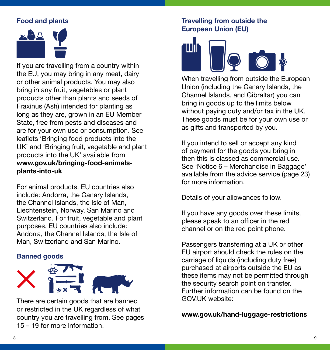## **Food and plants**



If you are travelling from a country within the EU, you may bring in any meat, dairy or other animal products. You may also bring in any fruit, vegetables or plant products other than plants and seeds of Fraxinus (Ash) intended for planting as long as they are, grown in an EU Member State, free from pests and diseases and are for your own use or consumption. See leaflets 'Bringing food products into the UK' and 'Bringing fruit, vegetable and plant products into the UK' available from **www.gov.uk/bringing-food-animalsplants-into-uk**

For animal products, EU countries also include: Andorra, the Canary Islands, the Channel Islands, the Isle of Man, Liechtenstein, Norway, San Marino and Switzerland. For fruit, vegetable and plant purposes, EU countries also include: Andorra, the Channel Islands, the Isle of Man, Switzerland and San Marino.

#### **Banned goods**



There are certain goods that are banned or restricted in the UK regardless of what country you are travelling from. See pages 15 – 19 for more information.

#### **Travelling from outside the European Union (EU)**



When travelling from outside the European Union (including the Canary Islands, the Channel Islands, and Gibraltar) you can bring in goods up to the limits below without paying duty and/or tax in the UK. These goods must be for your own use or as gifts and transported by you.

If you intend to sell or accept any kind of payment for the goods you bring in then this is classed as commercial use. See 'Notice 6 – Merchandise in Baggage' available from the advice service (page 23) for more information.

Details of your allowances follow.

If you have any goods over these limits, please speak to an officer in the red channel or on the red point phone.

Passengers transferring at a UK or other EU airport should check the rules on the carriage of liquids (including duty free) purchased at airports outside the EU as these items may not be permitted through the security search point on transfer. Further information can be found on the GOV.UK website:

**www.gov.uk/hand-luggage-restrictions**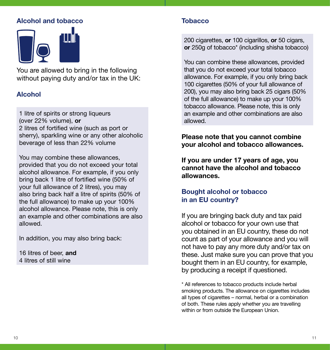## **Alcohol and tobacco**



You are allowed to bring in the following without paying duty and/or tax in the UK:

#### **Alcohol**

1 litre of spirits or strong liqueurs (over 22% volume), **or** 2 litres of fortified wine (such as port or sherry), sparkling wine or any other alcoholic beverage of less than 22% volume

You may combine these allowances, provided that you do not exceed your total alcohol allowance. For example, if you only bring back 1 litre of fortified wine (50% of your full allowance of 2 litres), you may also bring back half a litre of spirits (50% of the full allowance) to make up your 100% alcohol allowance. Please note, this is only an example and other combinations are also allowed.

In addition, you may also bring back:

16 litres of beer, **and** 4 litres of still wine

#### **Tobacco**

200 cigarettes, **or** 100 cigarillos, **or** 50 cigars, **or** 250g of tobacco\* (including shisha tobacco)

You can combine these allowances, provided that you do not exceed your total tobacco allowance. For example, if you only bring back 100 cigarettes (50% of your full allowance of 200), you may also bring back 25 cigars (50% of the full allowance) to make up your 100% tobacco allowance. Please note, this is only an example and other combinations are also allowed.

#### **Please note that you cannot combine your alcohol and tobacco allowances.**

**If you are under 17 years of age, you cannot have the alcohol and tobacco allowances.**

#### **Bought alcohol or tobacco in an EU country?**

If you are bringing back duty and tax paid alcohol or tobacco for your own use that you obtained in an EU country, these do not count as part of your allowance and you will not have to pay any more duty and/or tax on these. Just make sure you can prove that you bought them in an EU country, for example, by producing a receipt if questioned.

\* All references to tobacco products include herbal smoking products. The allowance on cigarettes includes all types of cigarettes – normal, herbal or a combination of both. These rules apply whether you are travelling within or from outside the European Union.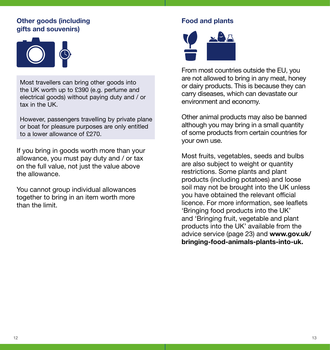#### **Other goods (including gifts and souvenirs)**



Most travellers can bring other goods into the UK worth up to £390 (e.g. perfume and electrical goods) without paying duty and / or tax in the UK.

However, passengers travelling by private plane or boat for pleasure purposes are only entitled to a lower allowance of £270.

If you bring in goods worth more than your allowance, you must pay duty and / or tax on the full value, not just the value above the allowance.

You cannot group individual allowances together to bring in an item worth more than the limit.

# **Food and plants**



From most countries outside the EU, you are not allowed to bring in any meat, honey or dairy products. This is because they can carry diseases, which can devastate our environment and economy.

Other animal products may also be banned although you may bring in a small quantity of some products from certain countries for your own use.

Most fruits, vegetables, seeds and bulbs are also subject to weight or quantity restrictions. Some plants and plant products (including potatoes) and loose soil may not be brought into the UK unless you have obtained the relevant official licence. For more information, see leaflets 'Bringing food products into the UK' and 'Bringing fruit, vegetable and plant products into the UK' available from the advice service (page 23) and **www.gov.uk/ bringing-food-animals-plants-into-uk.**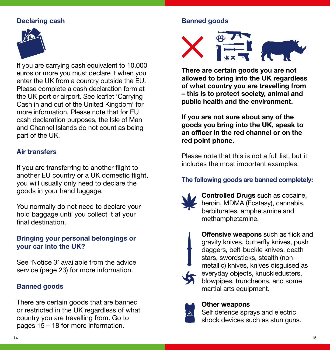## **Declaring cash**



If you are carrying cash equivalent to 10,000 euros or more you must declare it when you enter the UK from a country outside the EU. Please complete a cash declaration form at the UK port or airport. See leaflet 'Carrying Cash in and out of the United Kingdom' for more information. Please note that for EU cash declaration purposes, the Isle of Man and Channel Islands do not count as being part of the UK.

#### **Air transfers**

If you are transferring to another flight to another EU country or a UK domestic flight, you will usually only need to declare the goods in your hand luggage.

You normally do not need to declare your hold baggage until you collect it at your final destination.

## **Bringing your personal belongings or your car into the UK?**

See 'Notice 3' available from the advice service (page 23) for more information.

#### **Banned goods**

There are certain goods that are banned or restricted in the UK regardless of what country you are travelling from. Go to pages 15 – 18 for more information.

## **Banned goods**



**There are certain goods you are not allowed to bring into the UK regardless of what country you are travelling from – this is to protect society, animal and public health and the environment.**

**If you are not sure about any of the goods you bring into the UK, speak to an officer in the red channel or on the red point phone.**

Please note that this is not a full list, but it includes the most important examples.

## **The following goods are banned completely:**



**Controlled Drugs** such as cocaine, heroin, MDMA (Ecstasy), cannabis, barbiturates, amphetamine and methamphetamine.



**Offensive weapons** such as flick and gravity knives, butterfly knives, push daggers, belt-buckle knives, death stars, swordsticks, stealth (nonmetallic) knives, knives disguised as everyday objects, knuckledusters, blowpipes, truncheons, and some martial arts equipment.

## **Other weapons**

Self defence sprays and electric shock devices such as stun guns.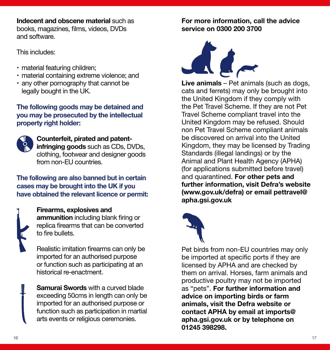**Indecent and obscene material** such as books, magazines, films, videos, DVDs and software.

This includes:

- material featuring children;
- material containing extreme violence; and
- any other pornography that cannot be legally bought in the UK.

## **The following goods may be detained and you may be prosecuted by the intellectual property right holder:**



## **Counterfeit, pirated and patentinfringing goods** such as CDs, DVDs, clothing, footwear and designer goods from non-EU countries

## **The following are also banned but in certain cases may be brought into the UK if you have obtained the relevant licence or permit:**



**Firearms, explosives and ammunition** including blank firing or replica firearms that can be converted to fire bullets.

Realistic imitation firearms can only be imported for an authorised purpose or function such as participating at an historical re-enactment.

**Samurai Swords** with a curved blade exceeding 50cms in length can only be imported for an authorised purpose or function such as participation in martial arts events or religious ceremonies.

## **For more information, call the advice service on 0300 200 3700**



**Live animals** – Pet animals (such as dogs, cats and ferrets) may only be brought into the United Kingdom if they comply with the Pet Travel Scheme. If they are not Pet Travel Scheme compliant travel into the United Kingdom may be refused. Should non Pet Travel Scheme compliant animals be discovered on arrival into the United Kingdom, they may be licensed by Trading Standards (illegal landings) or by the Animal and Plant Health Agency (APHA) (for applications submitted before travel) and quarantined. **For other pets and further information, visit Defra's website [\(www.gov.uk/defra\)](http://www.gov.uk/defra) or email [pettravel@](mailto:pettravel%40apha.gsi.gov.uk?subject=) [apha.gsi.gov.uk](mailto:pettravel%40apha.gsi.gov.uk?subject=)**



Pet birds from non-EU countries may only be imported at specific ports if they are licensed by APHA and are checked by them on arrival. Horses, farm animals and productive poultry may not be imported as "pets". **For further information and advice on importing birds or farm animals, visit the Defra website or contact APHA by email at imports@ apha.gsi.gov.uk or by telephone on 01245 398298.**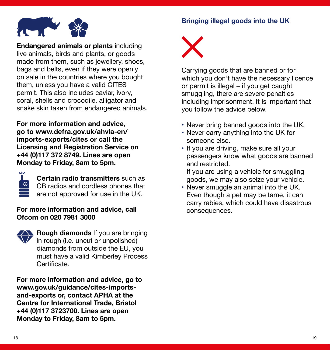## **Bringing illegal goods into the UK**



**Endangered animals or plants** including live animals, birds and plants, or goods made from them, such as jewellery, shoes, bags and belts, even if they were openly on sale in the countries where you bought them, unless you have a valid CITES permit. This also includes caviar, ivory, coral, shells and crocodile, alligator and snake skin taken from endangered animals.

**For more information and advice, go to www.defra.gov.uk/ahvla-en/ imports-exports/cites or call the Licensing and Registration Service on +44 (0)117 372 8749. Lines are open Monday to Friday, 8am to 5pm.**



**Certain radio transmitters** such as CB radios and cordless phones that are not approved for use in the UK.

#### **For more information and advice, call Ofcom on 020 7981 3000**



**Rough diamonds** If you are bringing in rough (i.e. uncut or unpolished) diamonds from outside the EU, you must have a valid Kimberley Process **Certificate** 

**For more information and advice, go to www.gov.uk/guidance/cites-importsand-exports or, contact APHA at the Centre for International Trade, Bristol +44 (0)117 3723700. Lines are open Monday to Friday, 8am to 5pm.**



Carrying goods that are banned or for which you don't have the necessary licence or permit is illegal – if you get caught smuggling, there are severe penalties including imprisonment. It is important that you follow the advice below.

- Never bring banned goods into the UK.
- Never carry anything into the UK for someone else.
- If you are driving, make sure all your passengers know what goods are banned and restricted.

If you are using a vehicle for smuggling goods, we may also seize your vehicle.

• Never smuggle an animal into the UK. Even though a pet may be tame, it can carry rabies, which could have disastrous consequences.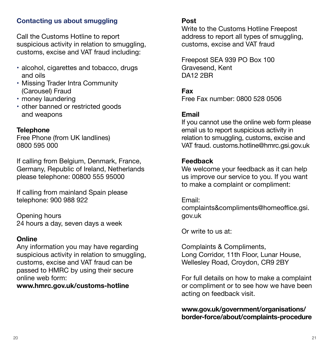## **Contacting us about smuggling**

Call the Customs Hotline to report suspicious activity in relation to smuggling, customs, excise and VAT fraud including:

- alcohol, cigarettes and tobacco, drugs and oils
- Missing Trader Intra Community (Carousel) Fraud
- money laundering
- other banned or restricted goods and weapons

#### **Telephone**

Free Phone (from UK landlines) 0800 595 000

If calling from Belgium, Denmark, France, Germany, Republic of Ireland, Netherlands please telephone: 00800 555 95000

If calling from mainland Spain please telephone: 900 988 922

Opening hours 24 hours a day, seven days a week

#### **Online**

Any information you may have regarding suspicious activity in relation to smuggling, customs, excise and VAT fraud can be passed to HMRC by using their secure online web form:

**<www.hmrc.gov.uk/customs-hotline>**

#### **Post**

Write to the Customs Hotline Freepost address to report all types of smuggling, customs, excise and VAT fraud

Freepost SEA 939 PO Box 100 Gravesend, Kent DA12 2BR

**Fax** Free Fax number: 0800 528 0506

#### **Email**

If you cannot use the online web form please email us to report suspicious activity in relation to smuggling, customs, excise and VAT fraud. customs.hotline@hmrc.gsi.gov.uk

#### **Feedback**

We welcome your feedback as it can help us improve our service to you. If you want to make a complaint or compliment:

Email: complaints&compliments@homeoffice.gsi. gov.uk

Or write to us at:

Complaints & Compliments, Long Corridor, 11th Floor, Lunar House, Wellesley Road, Croydon, CR9 2BY

For full details on how to make a complaint or compliment or to see how we have been acting on feedback visit.

#### **www.gov.uk/government/organisations/ border-force/about/complaints-procedure**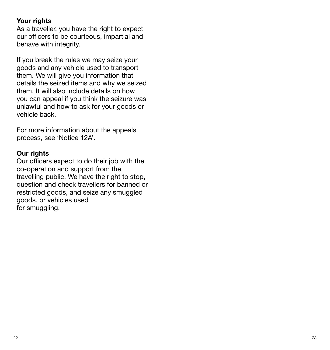## **Your rights**

As a traveller, you have the right to expect our officers to be courteous, impartial and behave with integrity.

If you break the rules we may seize your goods and any vehicle used to transport them. We will give you information that details the seized items and why we seized them. It will also include details on how you can appeal if you think the seizure was unlawful and how to ask for your goods or vehicle back.

For more information about the appeals process, see 'Notice 12A'.

## **Our rights**

Our officers expect to do their job with the co-operation and support from the travelling public. We have the right to stop, question and check travellers for banned or restricted goods, and seize any smuggled goods, or vehicles used for smuggling.